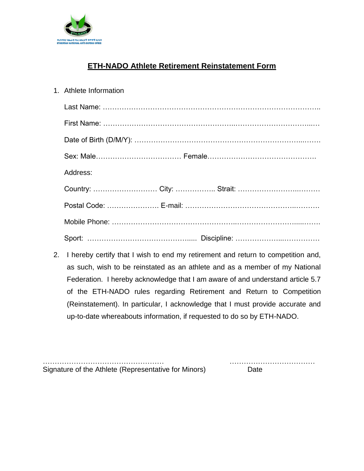

## **ETH-NADO Athlete Retirement Reinstatement Form**

| 1. Athlete Information |
|------------------------|
|                        |
|                        |
|                        |
|                        |
| Address:               |
|                        |
|                        |
|                        |
|                        |

2. I hereby certify that I wish to end my retirement and return to competition and, as such, wish to be reinstated as an athlete and as a member of my National Federation. I hereby acknowledge that I am aware of and understand article 5.7 of the ETH-NADO rules regarding Retirement and Return to Competition (Reinstatement). In particular, I acknowledge that I must provide accurate and up-to-date whereabouts information, if requested to do so by ETH-NADO.

Signature of the Athlete (Representative for Minors) Date

…………………………………………… ………………………………